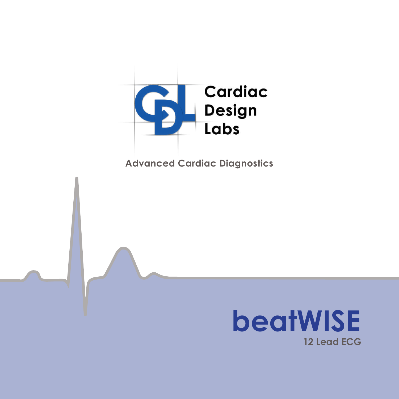

**Advanced Cardiac Diagnostics**

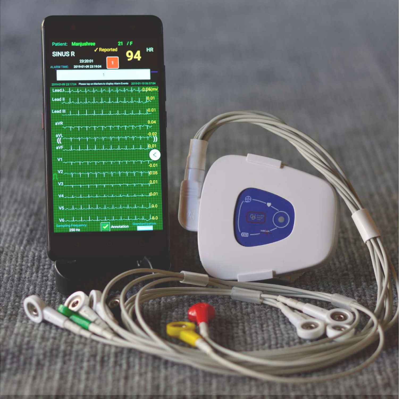| Patient:<br><b>SINUS R</b>          |               | <b>Manjushree</b>   |          |    | Reported | 21                |        | 4 |                                                                                 |
|-------------------------------------|---------------|---------------------|----------|----|----------|-------------------|--------|---|---------------------------------------------------------------------------------|
| ALARM TIME:                         |               | 2019-01-09 23:19:04 | 23:20:01 |    |          |                   |        |   |                                                                                 |
| 2019-01-09 23:17:04<br><b>Lead.</b> |               |                     |          |    | 11 L     |                   | المحلم |   | Please tap on Markers to display Alarm Events 2019-01-10 06:57:04<br>$0.05$ (mv |
| Lead II                             |               |                     |          |    |          |                   |        |   | 0.01                                                                            |
| <b>Lead III</b>                     |               |                     |          |    |          |                   |        |   | <b>0.01</b>                                                                     |
| aVR                                 |               |                     |          |    |          |                   |        |   | 0.04                                                                            |
| aVL                                 |               |                     |          |    |          |                   |        |   |                                                                                 |
| aVF                                 |               |                     |          |    |          |                   |        |   | 0,01                                                                            |
|                                     |               |                     |          |    |          |                   |        |   |                                                                                 |
| V2                                  |               |                     |          |    |          |                   |        |   | $-0.01$                                                                         |
| V3                                  |               |                     |          |    |          |                   |        |   | 10.05<br>0.01,                                                                  |
|                                     |               |                     |          |    |          |                   |        |   | 10.01                                                                           |
| V4                                  |               |                     |          |    |          |                   |        |   | La o                                                                            |
| V <sub>5</sub>                      |               |                     |          |    |          |                   |        |   |                                                                                 |
| V6<br><b>Sampling Frequency</b>     | <b>250 Hz</b> |                     |          | IJ |          | <b>Annotation</b> |        |   | $\overline{a}$ .0<br><b>Standardization</b>                                     |

ПТ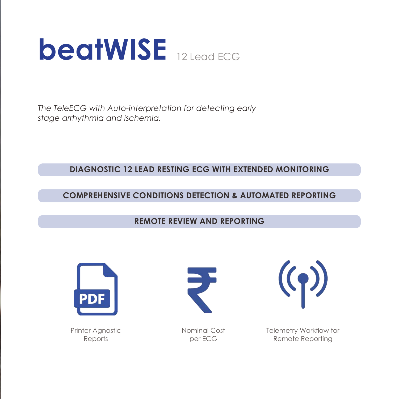

*The TeleECG with Auto-interpretation for detecting early stage arrhythmia and ischemia.*

#### **DIAGNOSTIC 12 LEAD RESTING ECG WITH EXTENDED MONITORING**

#### **COMPREHENSIVE CONDITIONS DETECTION & AUTOMATED REPORTING**

#### **REMOTE REVIEW AND REPORTING**



Printer Agnostic Reports



Nominal Cost per ECG



Telemetry Workflow for Remote Reporting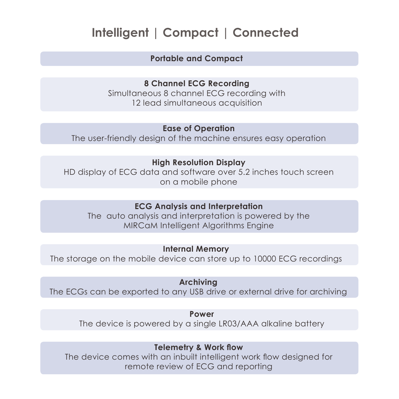# **Intelligent | Compact | Connected**

#### **Portable and Compact**

**8 Channel ECG Recording** Simultaneous 8 channel ECG recording with 12 lead simultaneous acquisition

#### **Ease of Operation**

The user-friendly design of the machine ensures easy operation

#### **High Resolution Display**

HD display of ECG data and software over 5.2 inches touch screen on a mobile phone

#### **ECG Analysis and Interpretation**

The auto analysis and interpretation is powered by the MIRCaM Intelligent Algorithms Engine

#### **Internal Memory**

The storage on the mobile device can store up to 10000 ECG recordings

**Archiving** The ECGs can be exported to any USB drive or external drive for archiving

**Power** The device is powered by a single LR03/AAA alkaline battery

**Telemetry & Work flow** The device comes with an inbuilt intelligent work flow designed for remote review of ECG and reporting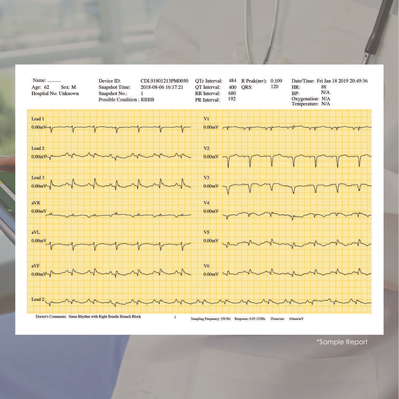



\*Sample Report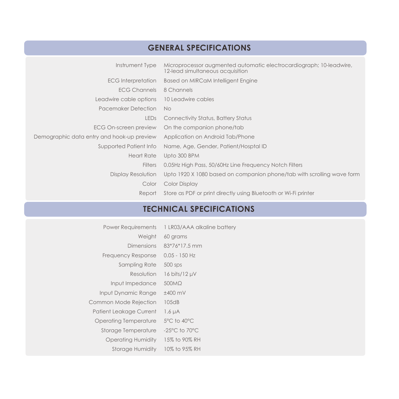### **GENERAL SPECIFICATIONS**

| Instrument Type                            | Microprocessor augmented automatic electrocardiograph; 10-leadwire,<br>12-lead simultaneous acquisition |
|--------------------------------------------|---------------------------------------------------------------------------------------------------------|
| <b>ECG</b> Interpretation                  | Based on MIRCaM Intelligent Engine                                                                      |
| <b>ECG Channels</b>                        | 8 Channels                                                                                              |
| Leadwire cable options                     | 10 Leadwire cables                                                                                      |
| Pacemaker Detection                        | No.                                                                                                     |
| <b>LEDs</b>                                | Connectivity Status, Battery Status                                                                     |
| <b>ECG On-screen preview</b>               | On the companion phone/tab                                                                              |
| Demographic data entry and hook-up preview | Application on Android Tab/Phone                                                                        |
| Supported Patient Info                     | Name, Age, Gender, Patient/Hosptal ID                                                                   |
| <b>Heart Rate</b>                          | Upto 300 BPM                                                                                            |
| <b>Filters</b>                             | 0.05Hz High Pass, 50/60Hz Line Frequency Notch Filters                                                  |
| Display Resolution                         | Upto 1920 X 1080 based on companion phone/tab with scrolling wave form                                  |
| Color                                      | Color Display                                                                                           |
| Report                                     | Store as PDF or print directly using Bluetooth or Wi-Fi printer                                         |

## **TECHNICAL SPECIFICATIONS**

| Power Requirements      | 1 LR03/AAA alkaline battery       |
|-------------------------|-----------------------------------|
| Weight                  | 60 grams                          |
| Dimensions              | 83*76*17.5 mm                     |
| Frequency Response      | $0.05 - 150$ Hz                   |
| Sampling Rate           | $500$ sps                         |
| Resolution              | $16 \text{ bits} / 12 \mu V$      |
| Input Impedance         | 500MQ                             |
| Input Dynamic Range     | $±400$ mV                         |
| Common Mode Rejection   | 105dB                             |
| Patient Leakage Current | 1.6 µA                            |
| Operating Temperature   | 5°C to 40°C                       |
| Storage Temperature     | $-25^{\circ}$ C to $70^{\circ}$ C |
| Operating Humidity      | 15% to 90% RH                     |
| Storage Humidity        | 10% to 95% RH                     |
|                         |                                   |